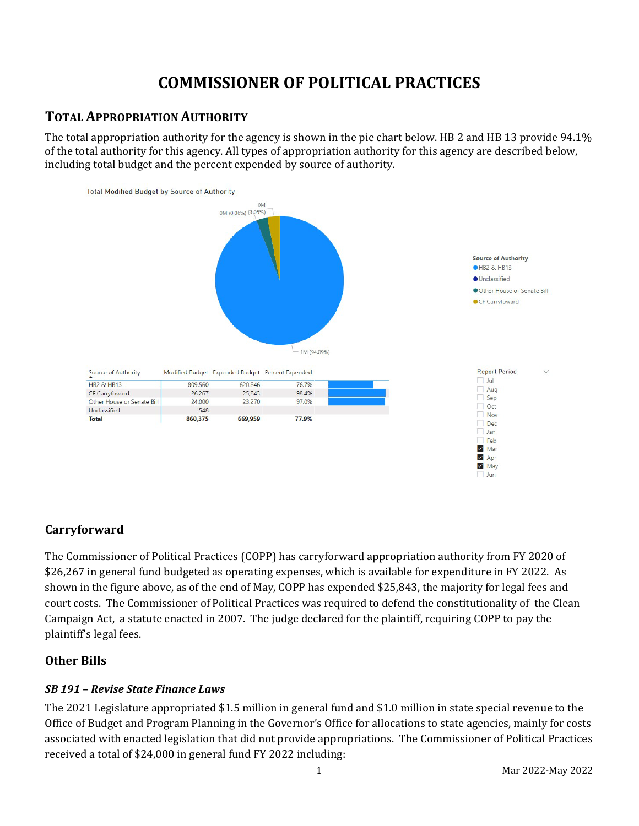# **COMMISSIONER OF POLITICAL PRACTICES**

# **TOTAL APPROPRIATION AUTHORITY**

The total appropriation authority for the agency is shown in the pie chart below. HB 2 and HB 13 provide 94.1% of the total authority for this agency. All types of appropriation authority for this agency are described below, including total budget and the percent expended by source of authority.



# **Carryforward**

The Commissioner of Political Practices (COPP) has carryforward appropriation authority from FY 2020 of \$26,267 in general fund budgeted as operating expenses, which is available for expenditure in FY 2022. As shown in the figure above, as of the end of May, COPP has expended \$25,843, the majority for legal fees and court costs. The Commissioner of Political Practices was required to defend the constitutionality of the Clean Campaign Act, a statute enacted in 2007. The judge declared for the plaintiff, requiring COPP to pay the plaintiff's legal fees.

### **Other Bills**

#### *SB 191 – Revise State Finance Laws*

The 2021 Legislature appropriated \$1.5 million in general fund and \$1.0 million in state special revenue to the Office of Budget and Program Planning in the Governor's Office for allocations to state agencies, mainly for costs associated with enacted legislation that did not provide appropriations. The Commissioner of Political Practices received a total of \$24,000 in general fund FY 2022 including: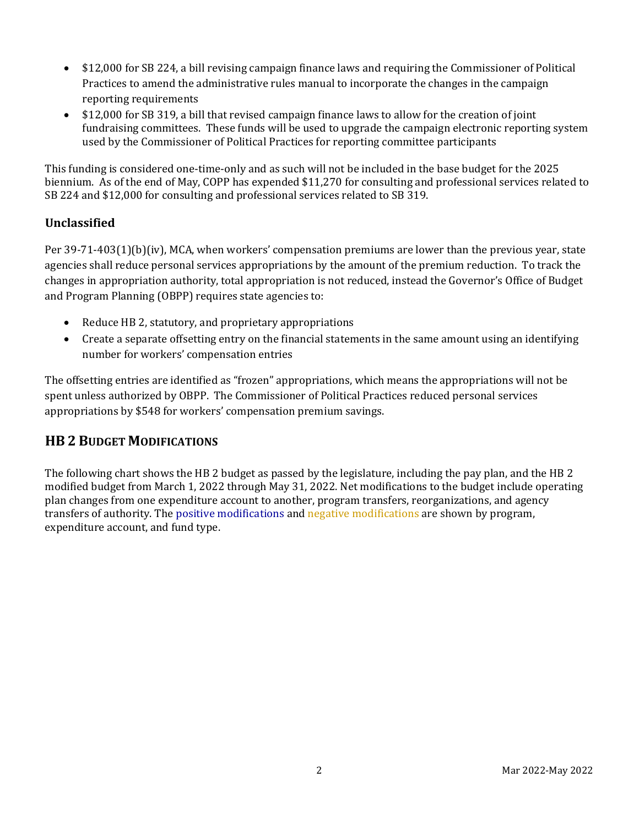- \$12,000 for SB 224, a bill revising campaign finance laws and requiring the Commissioner of Political Practices to amend the administrative rules manual to incorporate the changes in the campaign reporting requirements
- \$12,000 for SB 319, a bill that revised campaign finance laws to allow for the creation of joint fundraising committees. These funds will be used to upgrade the campaign electronic reporting system used by the Commissioner of Political Practices for reporting committee participants

This funding is considered one-time-only and as such will not be included in the base budget for the 2025 biennium. As of the end of May, COPP has expended \$11,270 for consulting and professional services related to SB 224 and \$12,000 for consulting and professional services related to SB 319.

### **Unclassified**

Per 39-71-403(1)(b)(iv), MCA, when workers' compensation premiums are lower than the previous year, state agencies shall reduce personal services appropriations by the amount of the premium reduction. To track the changes in appropriation authority, total appropriation is not reduced, instead the Governor's Office of Budget and Program Planning (OBPP) requires state agencies to:

- Reduce HB 2, statutory, and proprietary appropriations
- Create a separate offsetting entry on the financial statements in the same amount using an identifying number for workers' compensation entries

The offsetting entries are identified as "frozen" appropriations, which means the appropriations will not be spent unless authorized by OBPP. The Commissioner of Political Practices reduced personal services appropriations by \$548 for workers' compensation premium savings.

# **HB 2 BUDGET MODIFICATIONS**

The following chart shows the HB 2 budget as passed by the legislature, including the pay plan, and the HB 2 modified budget from March 1, 2022 through May 31, 2022. Net modifications to the budget include operating plan changes from one expenditure account to another, program transfers, reorganizations, and agency transfers of authority. The positive modifications and negative modifications are shown by program, expenditure account, and fund type.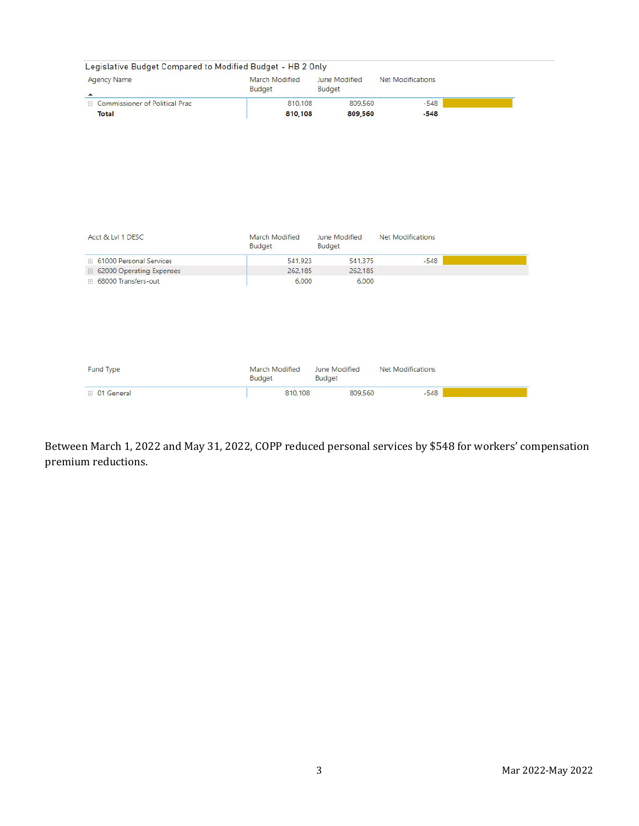| <b>Agency Name</b>                                  | March Modified<br>Budget        | June Modified<br>Budget        | <b>Net Modifications</b> |
|-----------------------------------------------------|---------------------------------|--------------------------------|--------------------------|
| ▲<br>E Commissioner of Political Prac               | 810,108                         | 809,560                        | $-548$                   |
| <b>Total</b>                                        | 810,108                         | 809,560                        | $-548$                   |
|                                                     |                                 |                                |                          |
| Acct & Lvl 1 DESC                                   | March Modified<br>Budget        | June Modified<br><b>Budget</b> | Net Modifications        |
| <b>E</b> 61000 Personal Services                    | 541,923                         | 541,375                        | $-548$                   |
| □ 62000 Operating Expenses<br>F 68000 Transfers-out | 262,185<br>6,000                | 262.185<br>6,000               |                          |
|                                                     |                                 |                                |                          |
| Fund Type                                           | March Modified<br><b>Budget</b> | June Modified<br>Budget        | <b>Net Modifications</b> |
|                                                     |                                 |                                | $-548$                   |

Between March 1, 2022 and May 31, 2022, COPP reduced personal services by \$548 for workers' compensation premium reductions.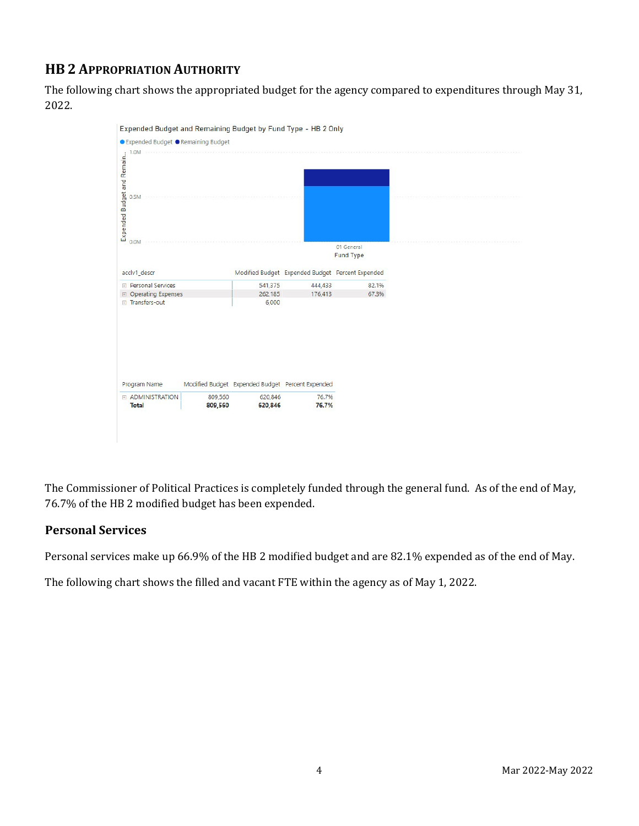# **HB 2 APPROPRIATION AUTHORITY**

The following chart shows the appropriated budget for the agency compared to expenditures through May 31, 2022.



The Commissioner of Political Practices is completely funded through the general fund. As of the end of May, 76.7% of the HB 2 modified budget has been expended.

# **Personal Services**

Personal services make up 66.9% of the HB 2 modified budget and are 82.1% expended as of the end of May.

The following chart shows the filled and vacant FTE within the agency as of May 1, 2022.